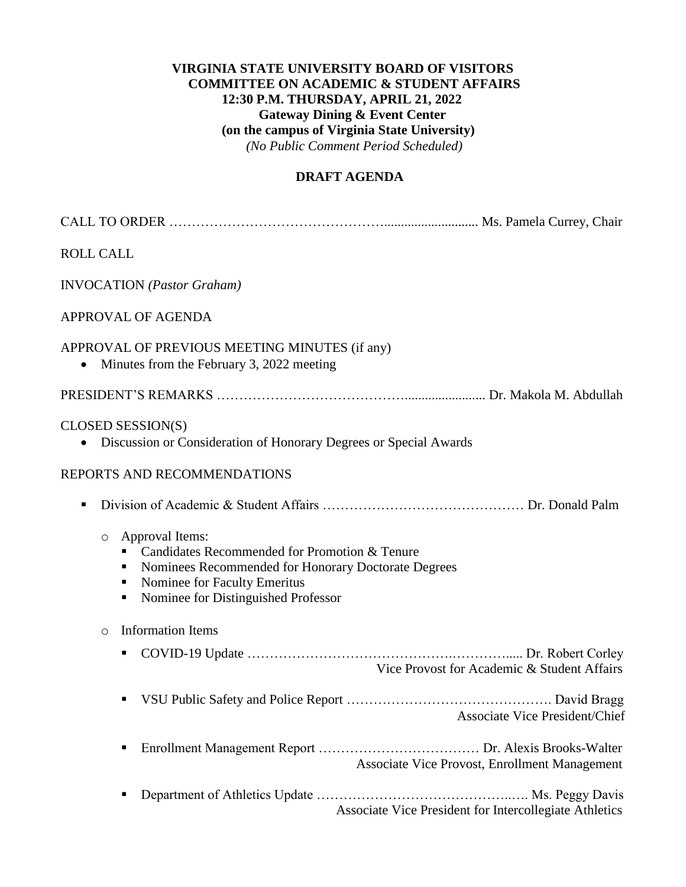## **VIRGINIA STATE UNIVERSITY BOARD OF VISITORS COMMITTEE ON ACADEMIC & STUDENT AFFAIRS 12:30 P.M. THURSDAY, APRIL 21, 2022 Gateway Dining & Event Center (on the campus of Virginia State University)**  *(No Public Comment Period Scheduled)*

#### **DRAFT AGENDA**

| <b>ROLL CALL</b>                                                                                                                                                                                                         |
|--------------------------------------------------------------------------------------------------------------------------------------------------------------------------------------------------------------------------|
| <b>INVOCATION</b> (Pastor Graham)                                                                                                                                                                                        |
| <b>APPROVAL OF AGENDA</b>                                                                                                                                                                                                |
| APPROVAL OF PREVIOUS MEETING MINUTES (if any)<br>Minutes from the February 3, 2022 meeting<br>$\bullet$                                                                                                                  |
|                                                                                                                                                                                                                          |
| CLOSED SESSION(S)<br>• Discussion or Consideration of Honorary Degrees or Special Awards                                                                                                                                 |
| REPORTS AND RECOMMENDATIONS                                                                                                                                                                                              |
| п                                                                                                                                                                                                                        |
| Approval Items:<br>$\circ$<br>Candidates Recommended for Promotion & Tenure<br>Nominees Recommended for Honorary Doctorate Degrees<br>٠<br>Nominee for Faculty Emeritus<br>п<br>Nominee for Distinguished Professor<br>ш |
| <b>Information Items</b><br>$\circ$                                                                                                                                                                                      |
| ш<br>Vice Provost for Academic & Student Affairs                                                                                                                                                                         |
| ш<br><b>Associate Vice President/Chief</b>                                                                                                                                                                               |
| Е<br>Associate Vice Provost, Enrollment Management                                                                                                                                                                       |
| п<br>Associate Vice President for Intercollegiate Athletics                                                                                                                                                              |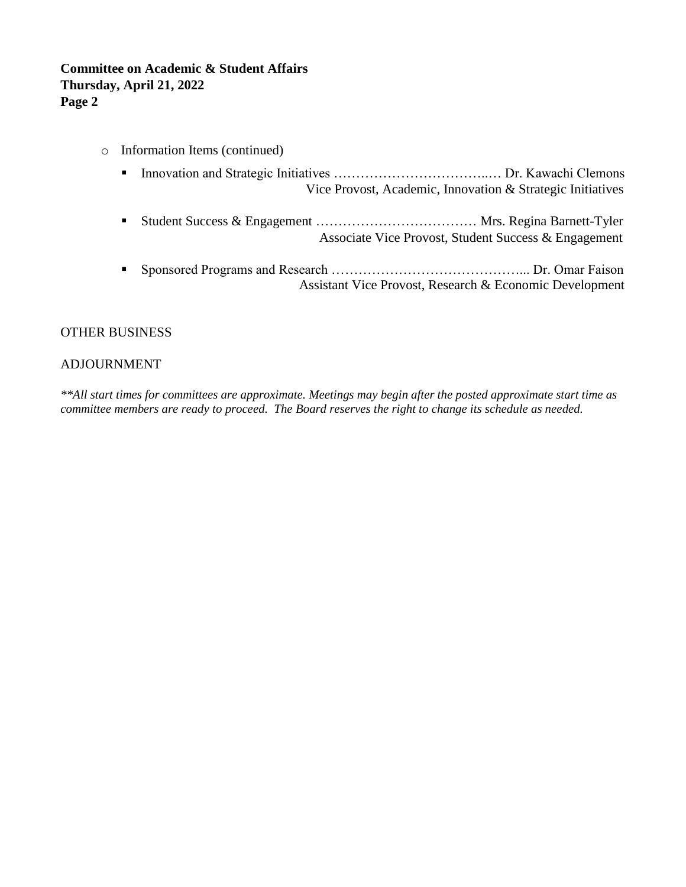## **Committee on Academic & Student Affairs Thursday, April 21, 2022 Page 2**

- o Information Items (continued)
	- Innovation and Strategic Initiatives ……………………………………………… Dr. Kawachi Clemons Vice Provost, Academic, Innovation & Strategic Initiatives
	- Student Success & Engagement ……………………………………… Mrs. Regina Barnett-Tyler Associate Vice Provost, Student Success & Engagement
	- Sponsored Programs and Research ……………………………………………………… Dr. Omar Faison Assistant Vice Provost, Research & Economic Development

#### OTHER BUSINESS

#### ADJOURNMENT

*\*\*All start times for committees are approximate. Meetings may begin after the posted approximate start time as committee members are ready to proceed. The Board reserves the right to change its schedule as needed.*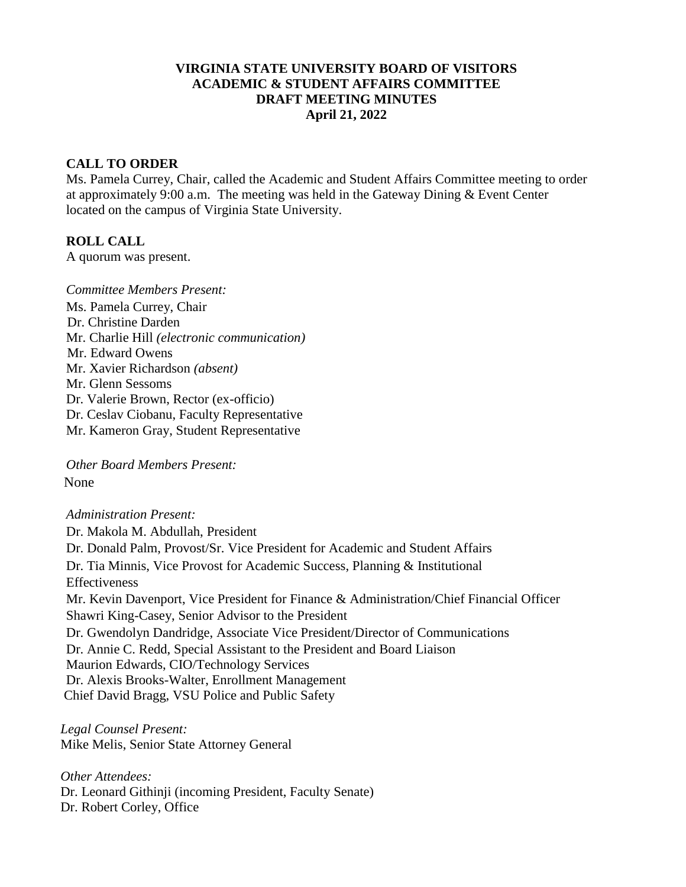#### **VIRGINIA STATE UNIVERSITY BOARD OF VISITORS ACADEMIC & STUDENT AFFAIRS COMMITTEE DRAFT MEETING MINUTES April 21, 2022**

#### **CALL TO ORDER**

Ms. Pamela Currey, Chair, called the Academic and Student Affairs Committee meeting to order at approximately 9:00 a.m. The meeting was held in the Gateway Dining & Event Center located on the campus of Virginia State University.

#### **ROLL CALL**

A quorum was present.

*Committee Members Present:*  Ms. Pamela Currey, Chair Dr. Christine Darden Mr. Charlie Hill *(electronic communication)* Mr. Edward Owens Mr. Xavier Richardson *(absent)* Mr. Glenn Sessoms Dr. Valerie Brown, Rector (ex-officio) Dr. Ceslav Ciobanu, Faculty Representative Mr. Kameron Gray, Student Representative

*Other Board Members Present:* None

*Administration Present:* Dr. Makola M. Abdullah, President Dr. Donald Palm, Provost/Sr. Vice President for Academic and Student Affairs Dr. Tia Minnis, Vice Provost for Academic Success, Planning & Institutional Effectiveness Mr. Kevin Davenport, Vice President for Finance & Administration/Chief Financial Officer Shawri King-Casey, Senior Advisor to the President Dr. Gwendolyn Dandridge, Associate Vice President/Director of Communications Dr. Annie C. Redd, Special Assistant to the President and Board Liaison Maurion Edwards, CIO/Technology Services Dr. Alexis Brooks-Walter, Enrollment Management Chief David Bragg, VSU Police and Public Safety

*Legal Counsel Present:* Mike Melis, Senior State Attorney General

*Other Attendees:* Dr. Leonard Githinji (incoming President, Faculty Senate) Dr. Robert Corley, Office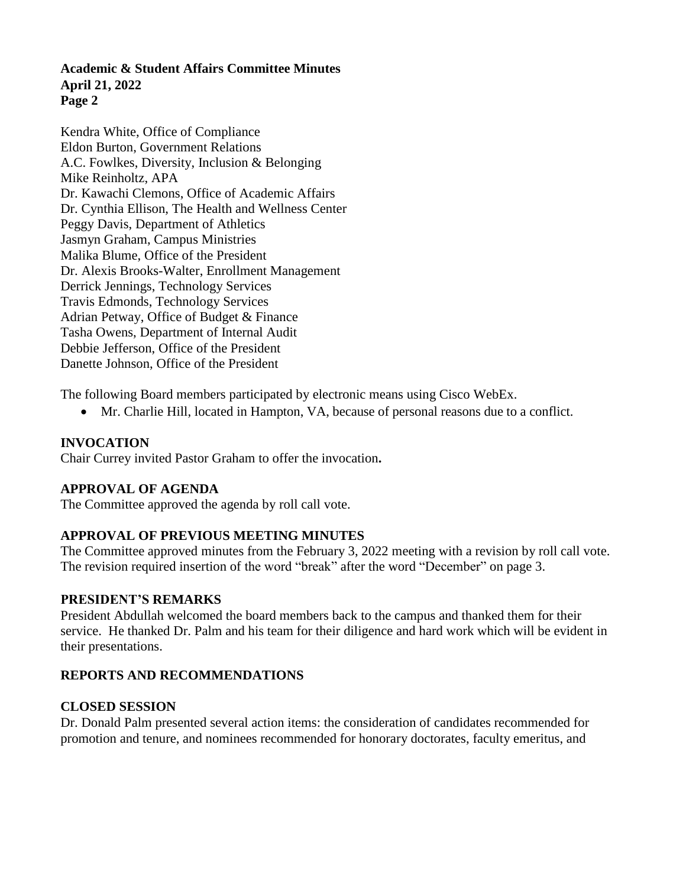Kendra White, Office of Compliance Eldon Burton, Government Relations A.C. Fowlkes, Diversity, Inclusion & Belonging Mike Reinholtz, APA Dr. Kawachi Clemons, Office of Academic Affairs Dr. Cynthia Ellison, The Health and Wellness Center Peggy Davis, Department of Athletics Jasmyn Graham, Campus Ministries Malika Blume, Office of the President Dr. Alexis Brooks-Walter, Enrollment Management Derrick Jennings, Technology Services Travis Edmonds, Technology Services Adrian Petway, Office of Budget & Finance Tasha Owens, Department of Internal Audit Debbie Jefferson, Office of the President Danette Johnson, Office of the President

The following Board members participated by electronic means using Cisco WebEx.

• Mr. Charlie Hill, located in Hampton, VA, because of personal reasons due to a conflict.

# **INVOCATION**

Chair Currey invited Pastor Graham to offer the invocation**.**

## **APPROVAL OF AGENDA**

The Committee approved the agenda by roll call vote.

# **APPROVAL OF PREVIOUS MEETING MINUTES**

The Committee approved minutes from the February 3, 2022 meeting with a revision by roll call vote. The revision required insertion of the word "break" after the word "December" on page 3.

## **PRESIDENT'S REMARKS**

President Abdullah welcomed the board members back to the campus and thanked them for their service. He thanked Dr. Palm and his team for their diligence and hard work which will be evident in their presentations.

# **REPORTS AND RECOMMENDATIONS**

## **CLOSED SESSION**

Dr. Donald Palm presented several action items: the consideration of candidates recommended for promotion and tenure, and nominees recommended for honorary doctorates, faculty emeritus, and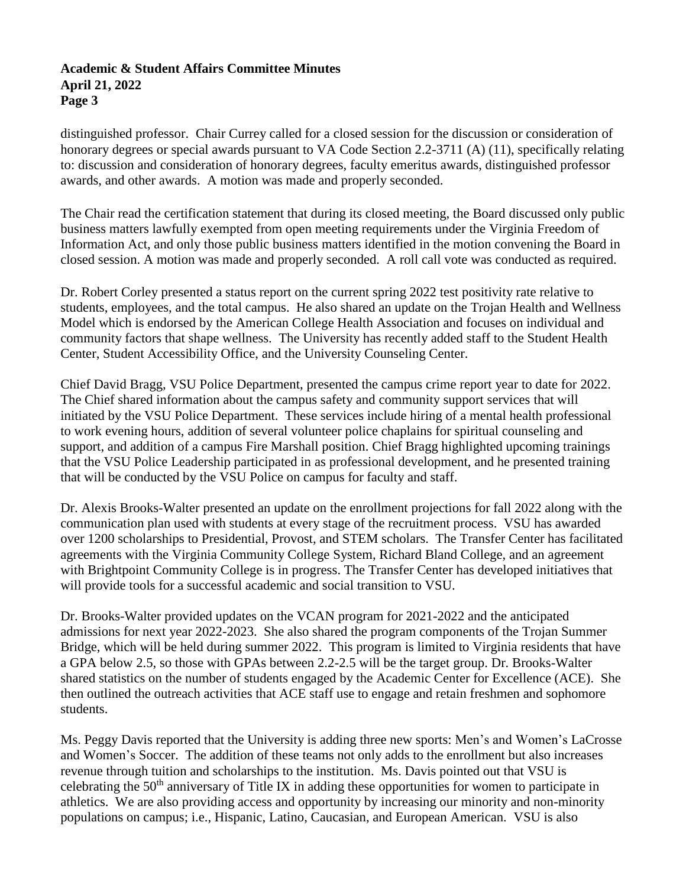distinguished professor. Chair Currey called for a closed session for the discussion or consideration of honorary degrees or special awards pursuant to VA Code Section 2.2-3711 (A) (11), specifically relating to: discussion and consideration of honorary degrees, faculty emeritus awards, distinguished professor awards, and other awards. A motion was made and properly seconded.

The Chair read the certification statement that during its closed meeting, the Board discussed only public business matters lawfully exempted from open meeting requirements under the Virginia Freedom of Information Act, and only those public business matters identified in the motion convening the Board in closed session. A motion was made and properly seconded. A roll call vote was conducted as required.

Dr. Robert Corley presented a status report on the current spring 2022 test positivity rate relative to students, employees, and the total campus. He also shared an update on the Trojan Health and Wellness Model which is endorsed by the American College Health Association and focuses on individual and community factors that shape wellness. The University has recently added staff to the Student Health Center, Student Accessibility Office, and the University Counseling Center.

Chief David Bragg, VSU Police Department, presented the campus crime report year to date for 2022. The Chief shared information about the campus safety and community support services that will initiated by the VSU Police Department. These services include hiring of a mental health professional to work evening hours, addition of several volunteer police chaplains for spiritual counseling and support, and addition of a campus Fire Marshall position. Chief Bragg highlighted upcoming trainings that the VSU Police Leadership participated in as professional development, and he presented training that will be conducted by the VSU Police on campus for faculty and staff.

Dr. Alexis Brooks-Walter presented an update on the enrollment projections for fall 2022 along with the communication plan used with students at every stage of the recruitment process. VSU has awarded over 1200 scholarships to Presidential, Provost, and STEM scholars. The Transfer Center has facilitated agreements with the Virginia Community College System, Richard Bland College, and an agreement with Brightpoint Community College is in progress. The Transfer Center has developed initiatives that will provide tools for a successful academic and social transition to VSU.

Dr. Brooks-Walter provided updates on the VCAN program for 2021-2022 and the anticipated admissions for next year 2022-2023. She also shared the program components of the Trojan Summer Bridge, which will be held during summer 2022. This program is limited to Virginia residents that have a GPA below 2.5, so those with GPAs between 2.2-2.5 will be the target group. Dr. Brooks-Walter shared statistics on the number of students engaged by the Academic Center for Excellence (ACE). She then outlined the outreach activities that ACE staff use to engage and retain freshmen and sophomore students.

Ms. Peggy Davis reported that the University is adding three new sports: Men's and Women's LaCrosse and Women's Soccer. The addition of these teams not only adds to the enrollment but also increases revenue through tuition and scholarships to the institution. Ms. Davis pointed out that VSU is celebrating the  $50<sup>th</sup>$  anniversary of Title IX in adding these opportunities for women to participate in athletics. We are also providing access and opportunity by increasing our minority and non-minority populations on campus; i.e., Hispanic, Latino, Caucasian, and European American. VSU is also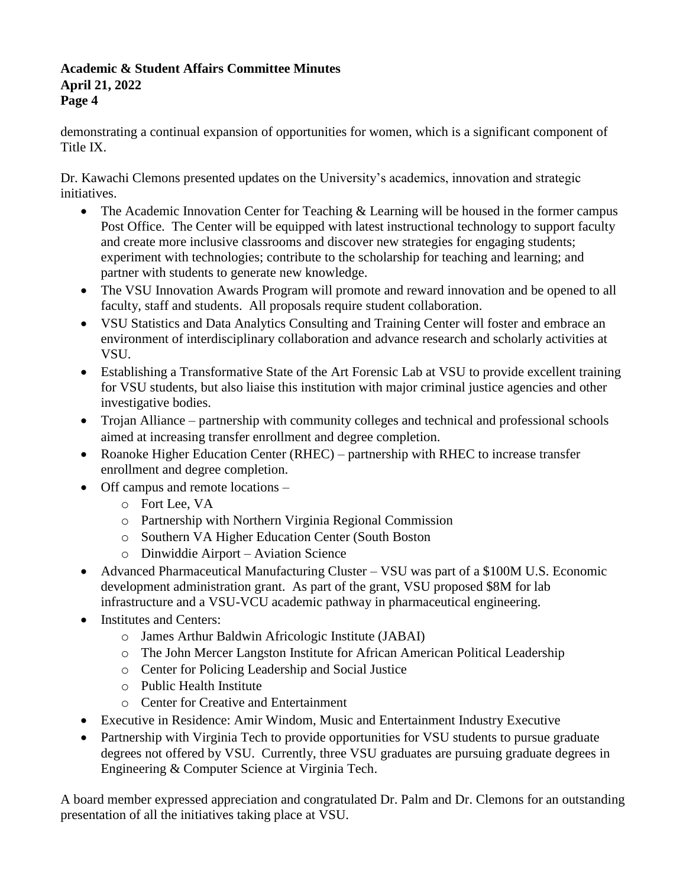demonstrating a continual expansion of opportunities for women, which is a significant component of Title IX.

Dr. Kawachi Clemons presented updates on the University's academics, innovation and strategic initiatives.

- The Academic Innovation Center for Teaching & Learning will be housed in the former campus Post Office. The Center will be equipped with latest instructional technology to support faculty and create more inclusive classrooms and discover new strategies for engaging students; experiment with technologies; contribute to the scholarship for teaching and learning; and partner with students to generate new knowledge.
- The VSU Innovation Awards Program will promote and reward innovation and be opened to all faculty, staff and students. All proposals require student collaboration.
- VSU Statistics and Data Analytics Consulting and Training Center will foster and embrace an environment of interdisciplinary collaboration and advance research and scholarly activities at VSU.
- Establishing a Transformative State of the Art Forensic Lab at VSU to provide excellent training for VSU students, but also liaise this institution with major criminal justice agencies and other investigative bodies.
- Trojan Alliance partnership with community colleges and technical and professional schools aimed at increasing transfer enrollment and degree completion.
- Roanoke Higher Education Center (RHEC) partnership with RHEC to increase transfer enrollment and degree completion.
- Off campus and remote locations
	- o Fort Lee, VA
	- o Partnership with Northern Virginia Regional Commission
	- o Southern VA Higher Education Center (South Boston
	- o Dinwiddie Airport Aviation Science
- Advanced Pharmaceutical Manufacturing Cluster VSU was part of a \$100M U.S. Economic development administration grant. As part of the grant, VSU proposed \$8M for lab infrastructure and a VSU-VCU academic pathway in pharmaceutical engineering.
- Institutes and Centers:
	- o James Arthur Baldwin Africologic Institute (JABAI)
	- o The John Mercer Langston Institute for African American Political Leadership
	- o Center for Policing Leadership and Social Justice
	- o Public Health Institute
	- o Center for Creative and Entertainment
- Executive in Residence: Amir Windom, Music and Entertainment Industry Executive
- Partnership with Virginia Tech to provide opportunities for VSU students to pursue graduate degrees not offered by VSU. Currently, three VSU graduates are pursuing graduate degrees in Engineering & Computer Science at Virginia Tech.

A board member expressed appreciation and congratulated Dr. Palm and Dr. Clemons for an outstanding presentation of all the initiatives taking place at VSU.